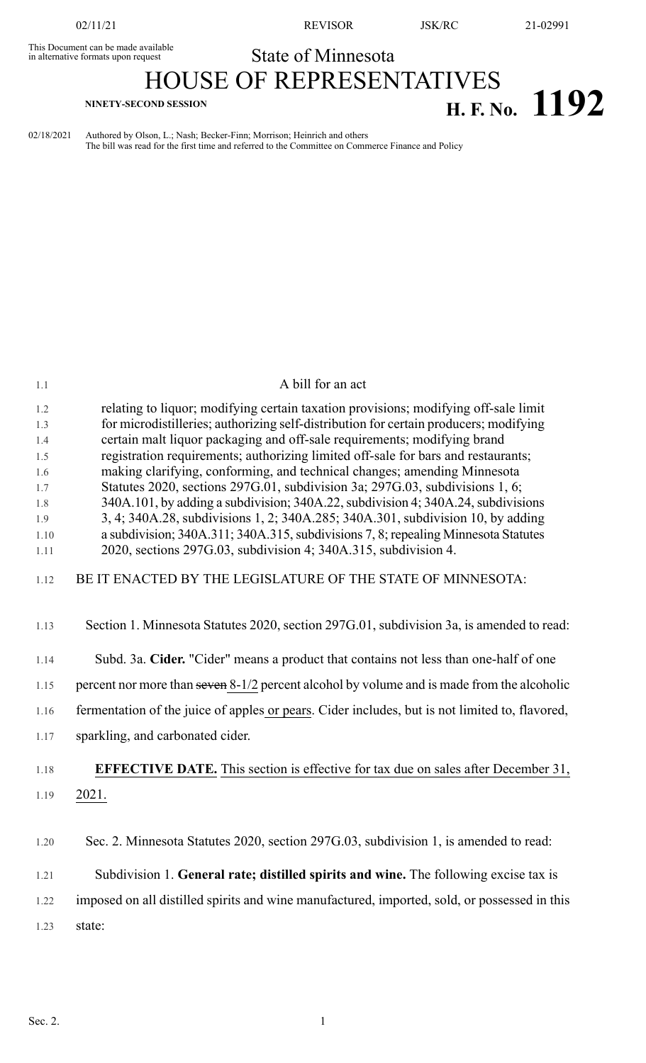This Document can be made available<br>in alternative formats upon request

02/11/21 REVISOR JSK/RC 21-02991

## State of Minnesota

# HOUSE OF REPRESENTATIVES **H. F. NO. 1192 H. F. No. 1192**

02/18/2021 Authored by Olson, L.; Nash; Becker-Finn; Morrison; Heinrich and others The bill was read for the first time and referred to the Committee on Commerce Finance and Policy

| 1.1        | A bill for an act                                                                                                                                                            |
|------------|------------------------------------------------------------------------------------------------------------------------------------------------------------------------------|
| 1.2<br>1.3 | relating to liquor; modifying certain taxation provisions; modifying off-sale limit<br>for microdistilleries; authorizing self-distribution for certain producers; modifying |
| 1.4        | certain malt liquor packaging and off-sale requirements; modifying brand                                                                                                     |
| 1.5        | registration requirements; authorizing limited off-sale for bars and restaurants;                                                                                            |
| 1.6        | making clarifying, conforming, and technical changes; amending Minnesota                                                                                                     |
| 1.7        | Statutes 2020, sections 297G.01, subdivision 3a; 297G.03, subdivisions 1, 6;                                                                                                 |
| 1.8        | 340A.101, by adding a subdivision; 340A.22, subdivision 4; 340A.24, subdivisions                                                                                             |
| 1.9        | 3, 4; 340A.28, subdivisions 1, 2; 340A.285; 340A.301, subdivision 10, by adding                                                                                              |
| 1.10       | a subdivision; 340A.311; 340A.315, subdivisions 7, 8; repealing Minnesota Statutes                                                                                           |
| 1.11       | 2020, sections 297G.03, subdivision 4; 340A.315, subdivision 4.                                                                                                              |
| 1.12       | BE IT ENACTED BY THE LEGISLATURE OF THE STATE OF MINNESOTA:                                                                                                                  |
| 1.13       | Section 1. Minnesota Statutes 2020, section 297G.01, subdivision 3a, is amended to read:                                                                                     |
| 1.14       | Subd. 3a. Cider. "Cider" means a product that contains not less than one-half of one                                                                                         |
| 1.15       | percent nor more than seven 8-1/2 percent alcohol by volume and is made from the alcoholic                                                                                   |
| 1.16       | fermentation of the juice of apples or pears. Cider includes, but is not limited to, flavored,                                                                               |
| 1.17       | sparkling, and carbonated cider.                                                                                                                                             |
| 1.18       | <b>EFFECTIVE DATE.</b> This section is effective for tax due on sales after December 31,                                                                                     |
| 1.19       | 2021.                                                                                                                                                                        |
|            |                                                                                                                                                                              |
| 1.20       | Sec. 2. Minnesota Statutes 2020, section 297G.03, subdivision 1, is amended to read:                                                                                         |
| 1.21       | Subdivision 1. General rate; distilled spirits and wine. The following excise tax is                                                                                         |
| 1.22       | imposed on all distilled spirits and wine manufactured, imported, sold, or possessed in this                                                                                 |
| 1.23       | state:                                                                                                                                                                       |
|            |                                                                                                                                                                              |
|            |                                                                                                                                                                              |
|            |                                                                                                                                                                              |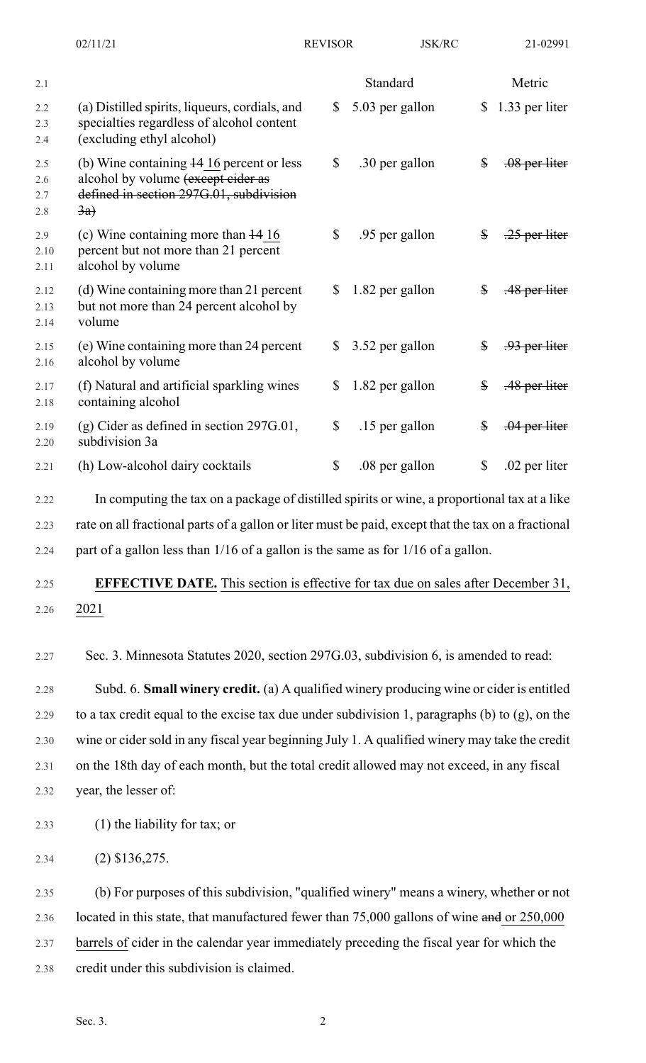|                          | 02/11/21                                                                                                                                      | <b>REVISOR</b> | <b>JSK/RC</b>   |              | 21-02991        |
|--------------------------|-----------------------------------------------------------------------------------------------------------------------------------------------|----------------|-----------------|--------------|-----------------|
| 2.1                      |                                                                                                                                               |                | Standard        |              | Metric          |
| 2.2<br>2.3<br>2.4        | (a) Distilled spirits, liqueurs, cordials, and<br>specialties regardless of alcohol content<br>(excluding ethyl alcohol)                      | \$             | 5.03 per gallon | \$           | 1.33 per liter  |
| 2.5<br>2.6<br>2.7<br>2.8 | (b) Wine containing 14 16 percent or less<br>alcohol by volume (except cider as<br>defined in section 297G.01, subdivision<br>$\overline{3a}$ | \$             | .30 per gallon  | $\$\$        | $.08$ per liter |
| 2.9<br>2.10<br>2.11      | (c) Wine containing more than $\frac{14}{16}$<br>percent but not more than 21 percent<br>alcohol by volume                                    | \$             | .95 per gallon  | \$           | $-25$ per liter |
| 2.12<br>2.13<br>2.14     | (d) Wine containing more than 21 percent<br>but not more than 24 percent alcohol by<br>volume                                                 | \$             | 1.82 per gallon | $\$\$        | .48 per liter   |
| 2.15<br>2.16             | (e) Wine containing more than 24 percent<br>alcohol by volume                                                                                 | \$             | 3.52 per gallon | $\mathbb{S}$ | .93 per liter   |
| 2.17<br>2.18             | (f) Natural and artificial sparkling wines<br>containing alcohol                                                                              | \$             | 1.82 per gallon | \$           | .48 per liter   |
| 2.19<br>2.20             | $(g)$ Cider as defined in section 297G.01,<br>subdivision 3a                                                                                  | $\mathbb{S}$   | .15 per gallon  | \$           | $.04$ per liter |
| 2.21                     | (h) Low-alcohol dairy cocktails                                                                                                               | \$             | .08 per gallon  | \$           | .02 per liter   |
| 2.22                     | In computing the tax on a package of distilled spirits or wine, a proportional tax at a like                                                  |                |                 |              |                 |
| 2.23                     | rate on all fractional parts of a gallon or liter must be paid, except that the tax on a fractional                                           |                |                 |              |                 |

2.24 part of a gallon less than 1/16 of a gallon is the same as for 1/16 of a gallon.

# 2.25 **EFFECTIVE DATE.** This section is effective for tax due on sales after December 31, 2.26 2021

2.27 Sec. 3. Minnesota Statutes 2020, section 297G.03, subdivision 6, is amended to read:

2.28 Subd. 6. **Small winery credit.** (a) A qualified winery producing wine or cider is entitled 2.29 to a tax credit equal to the excise tax due under subdivision 1, paragraphs (b) to  $(g)$ , on the 2.30 wine or cider sold in any fiscal year beginning July 1. A qualified winery may take the credit 2.31 on the 18th day of each month, but the total credit allowed may not exceed, in any fiscal 2.32 year, the lesser of:

- 2.33 (1) the liability for tax; or
- 2.34 (2) \$136,275.

2.35 (b) For purposes of this subdivision, "qualified winery" means a winery, whether or not 2.36 located in this state, that manufactured fewer than 75,000 gallons of wine and or 250,000 2.37 barrels of cider in the calendar year immediately preceding the fiscal year for which the 2.38 credit under this subdivision is claimed.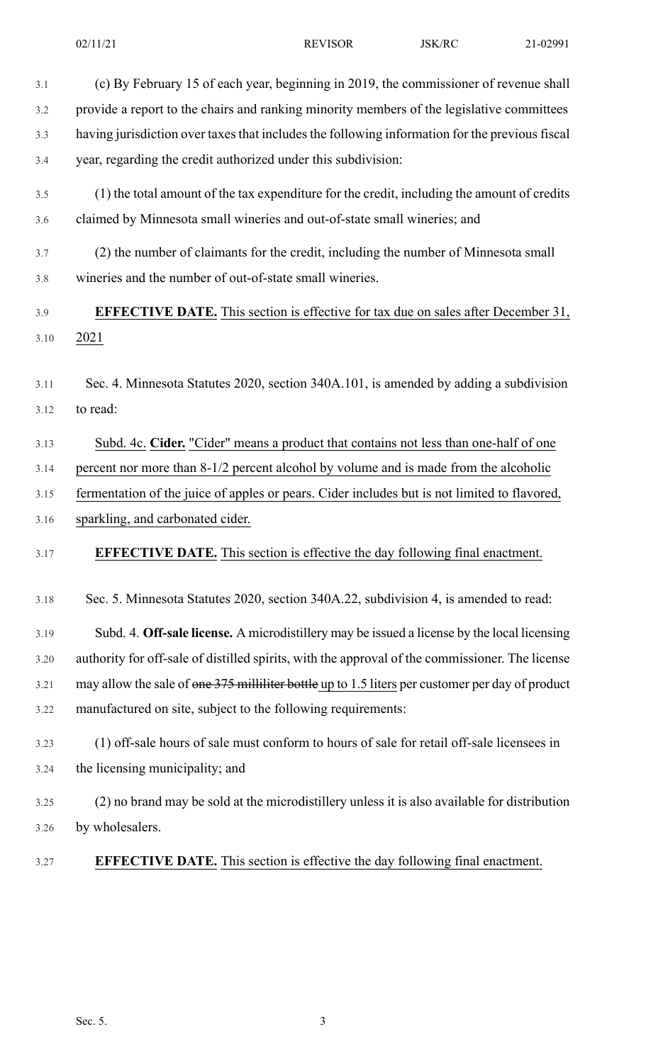| 3.1  | (c) By February 15 of each year, beginning in 2019, the commissioner of revenue shall            |
|------|--------------------------------------------------------------------------------------------------|
| 3.2  | provide a report to the chairs and ranking minority members of the legislative committees        |
| 3.3  | having jurisdiction over taxes that includes the following information for the previous fiscal   |
| 3.4  | year, regarding the credit authorized under this subdivision:                                    |
| 3.5  | (1) the total amount of the tax expenditure for the credit, including the amount of credits      |
| 3.6  | claimed by Minnesota small wineries and out-of-state small wineries; and                         |
| 3.7  | (2) the number of claimants for the credit, including the number of Minnesota small              |
| 3.8  | wineries and the number of out-of-state small wineries.                                          |
| 3.9  | <b>EFFECTIVE DATE.</b> This section is effective for tax due on sales after December 31,         |
| 3.10 | 2021                                                                                             |
| 3.11 | Sec. 4. Minnesota Statutes 2020, section 340A.101, is amended by adding a subdivision            |
| 3.12 | to read:                                                                                         |
|      |                                                                                                  |
| 3.13 | Subd. 4c. Cider. "Cider" means a product that contains not less than one-half of one             |
| 3.14 | percent nor more than 8-1/2 percent alcohol by volume and is made from the alcoholic             |
| 3.15 | fermentation of the juice of apples or pears. Cider includes but is not limited to flavored,     |
| 3.16 | sparkling, and carbonated cider.                                                                 |
| 3.17 | <b>EFFECTIVE DATE.</b> This section is effective the day following final enactment.              |
| 3.18 | Sec. 5. Minnesota Statutes 2020, section 340A.22, subdivision 4, is amended to read:             |
| 3.19 | Subd. 4. Off-sale license. A microdistillery may be issued a license by the local licensing      |
| 3.20 | authority for off-sale of distilled spirits, with the approval of the commissioner. The license  |
| 3.21 | may allow the sale of one 375 milliliter bottle up to 1.5 liters per customer per day of product |
| 3.22 | manufactured on site, subject to the following requirements:                                     |
| 3.23 | (1) off-sale hours of sale must conform to hours of sale for retail off-sale licensees in        |
| 3.24 | the licensing municipality; and                                                                  |
| 3.25 | (2) no brand may be sold at the microdistillery unless it is also available for distribution     |
| 3.26 | by wholesalers.                                                                                  |
| 3.27 | <b>EFFECTIVE DATE.</b> This section is effective the day following final enactment.              |
|      |                                                                                                  |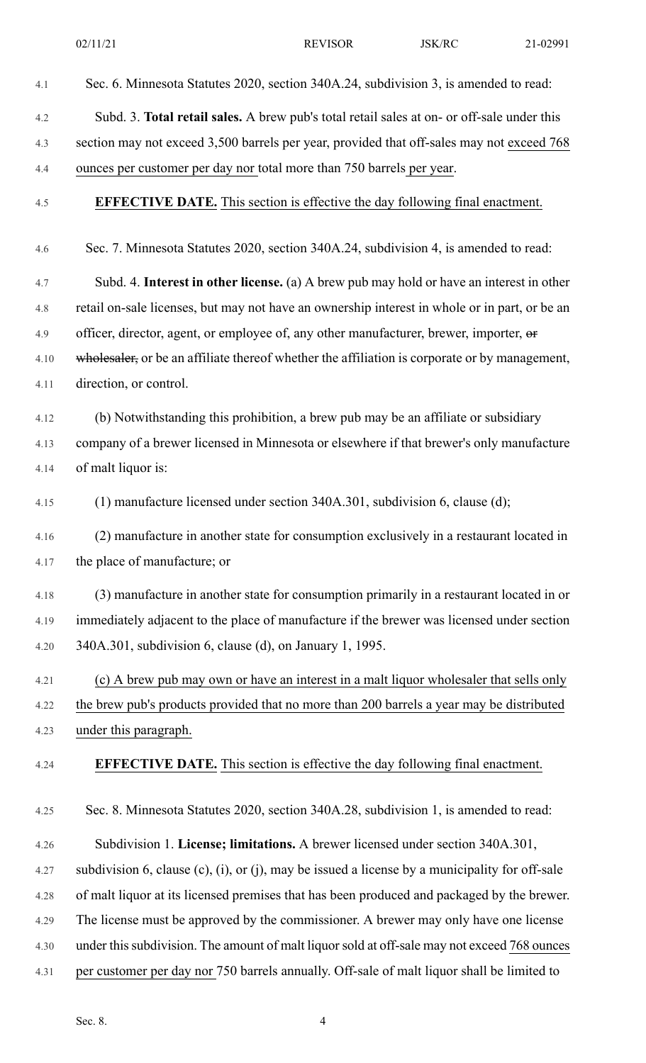| 4.1  | Sec. 6. Minnesota Statutes 2020, section 340A.24, subdivision 3, is amended to read:           |
|------|------------------------------------------------------------------------------------------------|
| 4.2  | Subd. 3. Total retail sales. A brew pub's total retail sales at on- or off-sale under this     |
| 4.3  | section may not exceed 3,500 barrels per year, provided that off-sales may not exceed 768      |
| 4.4  | ounces per customer per day nor total more than 750 barrels per year.                          |
| 4.5  | EFFECTIVE DATE. This section is effective the day following final enactment.                   |
| 4.6  | Sec. 7. Minnesota Statutes 2020, section 340A.24, subdivision 4, is amended to read:           |
| 4.7  | Subd. 4. Interest in other license. (a) A brew pub may hold or have an interest in other       |
| 4.8  | retail on-sale licenses, but may not have an ownership interest in whole or in part, or be an  |
| 4.9  | officer, director, agent, or employee of, any other manufacturer, brewer, importer, or         |
| 4.10 | wholesaler, or be an affiliate thereof whether the affiliation is corporate or by management,  |
| 4.11 | direction, or control.                                                                         |
| 4.12 | (b) Notwithstanding this prohibition, a brew pub may be an affiliate or subsidiary             |
| 4.13 | company of a brewer licensed in Minnesota or elsewhere if that brewer's only manufacture       |
| 4.14 | of malt liquor is:                                                                             |
| 4.15 | (1) manufacture licensed under section 340A.301, subdivision 6, clause (d);                    |
| 4.16 | (2) manufacture in another state for consumption exclusively in a restaurant located in        |
| 4.17 | the place of manufacture; or                                                                   |
| 4.18 | (3) manufacture in another state for consumption primarily in a restaurant located in or       |
| 4.19 | immediately adjacent to the place of manufacture if the brewer was licensed under section      |
| 4.20 | 340A.301, subdivision 6, clause (d), on January 1, 1995.                                       |
| 4.21 | (c) A brew pub may own or have an interest in a malt liquor wholesaler that sells only         |
| 4.22 | the brew pub's products provided that no more than 200 barrels a year may be distributed       |
| 4.23 | under this paragraph.                                                                          |
| 4.24 | <b>EFFECTIVE DATE.</b> This section is effective the day following final enactment.            |
| 4.25 | Sec. 8. Minnesota Statutes 2020, section 340A.28, subdivision 1, is amended to read:           |
| 4.26 | Subdivision 1. License; limitations. A brewer licensed under section 340A.301,                 |
| 4.27 | subdivision 6, clause (c), (i), or (j), may be issued a license by a municipality for off-sale |
| 4.28 | of malt liquor at its licensed premises that has been produced and packaged by the brewer.     |
| 4.29 | The license must be approved by the commissioner. A brewer may only have one license           |
| 4.30 | under this subdivision. The amount of malt liquor sold at off-sale may not exceed 768 ounces   |
| 4.31 | per customer per day nor 750 barrels annually. Off-sale of malt liquor shall be limited to     |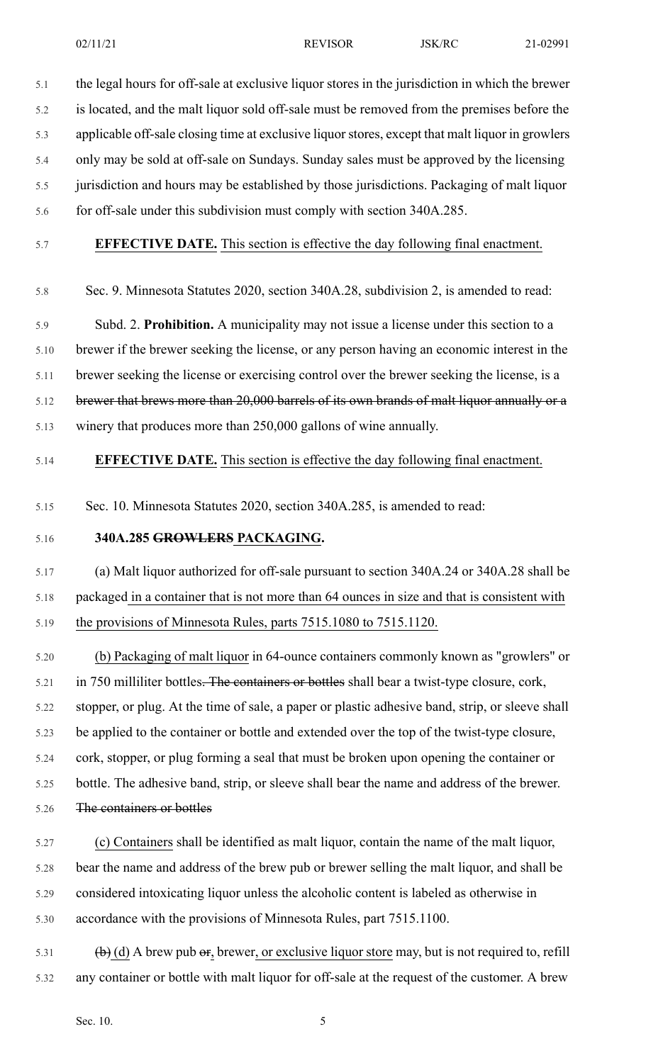5.1 the legal hours for off-sale at exclusive liquor stores in the jurisdiction in which the brewer 5.2 is located, and the malt liquor sold off-sale must be removed from the premises before the 5.3 applicable off-sale closing time at exclusive liquor stores, except that malt liquor in growlers 5.4 only may be sold at off-sale on Sundays. Sunday sales must be approved by the licensing 5.5 jurisdiction and hours may be established by those jurisdictions. Packaging of malt liquor

5.6 for off-sale under this subdivision must comply with section 340A.285.

5.7 **EFFECTIVE DATE.** This section is effective the day following final enactment.

5.8 Sec. 9. Minnesota Statutes 2020, section 340A.28, subdivision 2, is amended to read:

5.9 Subd. 2. **Prohibition.** A municipality may not issue a license under this section to a 5.10 brewer if the brewer seeking the license, or any person having an economic interest in the 5.11 brewer seeking the license or exercising control over the brewer seeking the license, is a 5.12 brewer that brews more than 20,000 barrels of its own brands of malt liquor annually or a 5.13 winery that produces more than 250,000 gallons of wine annually.

#### 5.14 **EFFECTIVE DATE.** This section is effective the day following final enactment.

5.15 Sec. 10. Minnesota Statutes 2020, section 340A.285, is amended to read:

### 5.16 **340A.285 GROWLERS PACKAGING.**

5.17 (a) Malt liquor authorized for off-sale pursuant to section 340A.24 or 340A.28 shall be 5.18 packaged in a container that is not more than 64 ounces in size and that is consistent with 5.19 the provisions of Minnesota Rules, parts 7515.1080 to 7515.1120.

5.20 (b) Packaging of malt liquor in 64-ounce containers commonly known as "growlers" or 5.21 in 750 milliliter bottles. The containers or bottles shall bear a twist-type closure, cork, 5.22 stopper, or plug. At the time of sale, a paper or plastic adhesive band, strip, or sleeve shall 5.23 be applied to the container or bottle and extended over the top of the twist-type closure, 5.24 cork, stopper, or plug forming a seal that must be broken upon opening the container or 5.25 bottle. The adhesive band, strip, or sleeve shall bear the name and address of the brewer. 5.26 The containers or bottles

- 5.27 (c) Containers shall be identified as malt liquor, contain the name of the malt liquor, 5.28 bear the name and address of the brew pub or brewer selling the malt liquor, and shall be 5.29 considered intoxicating liquor unless the alcoholic content is labeled as otherwise in 5.30 accordance with the provisions of Minnesota Rules, part 7515.1100.
- $\phi$  (d) A brew pub or, brewer, or exclusive liquor store may, but is not required to, refill 5.32 any container or bottle with malt liquor for off-sale at the request of the customer. A brew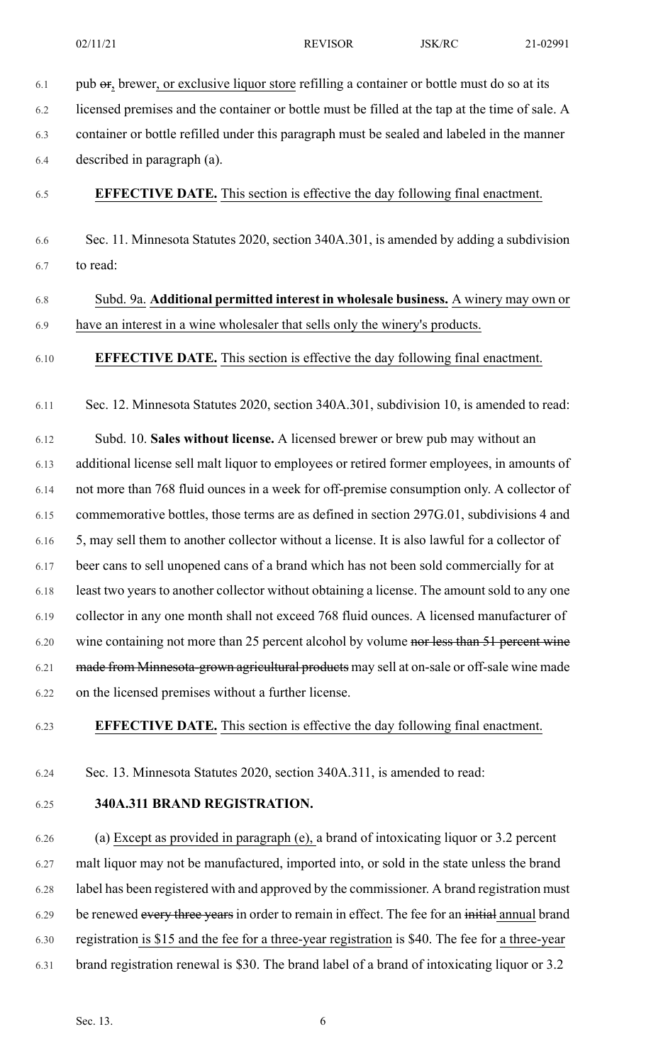$6.1$  pub  $\Theta$ , brewer, or exclusive liquor store refilling a container or bottle must do so at its

6.2 licensed premises and the container or bottle must be filled at the tap at the time of sale. A 6.3 container or bottle refilled under this paragraph must be sealed and labeled in the manner 6.4 described in paragraph (a). 6.5 **EFFECTIVE DATE.** This section is effective the day following final enactment. 6.6 Sec. 11. Minnesota Statutes 2020, section 340A.301, is amended by adding a subdivision 6.7 to read: 6.8 Subd. 9a. **Additional permitted interest in wholesale business.** A winery may own or 6.9 have an interest in a wine wholesaler that sells only the winery's products. 6.10 **EFFECTIVE DATE.** This section is effective the day following final enactment. 6.11 Sec. 12. Minnesota Statutes 2020, section 340A.301, subdivision 10, is amended to read: 6.12 Subd. 10. **Sales without license.** A licensed brewer or brew pub may without an 6.13 additional license sell malt liquor to employees or retired former employees, in amounts of 6.14 not more than 768 fluid ounces in a week for off-premise consumption only. A collector of 6.15 commemorative bottles, those terms are as defined in section 297G.01, subdivisions 4 and 6.16 5, may sell them to another collector without a license. It is also lawful for a collector of 6.17 beer cans to sell unopened cans of a brand which has not been sold commercially for at 6.18 least two years to another collector without obtaining a license. The amount sold to any one 6.19 collector in any one month shall not exceed 768 fluid ounces. A licensed manufacturer of 6.20 wine containing not more than 25 percent alcohol by volume nor less than 51 percent wine 6.21 made from Minnesota-grown agricultural products may sell at on-sale or off-sale wine made 6.22 on the licensed premises without a further license.

6.23 **EFFECTIVE DATE.** This section is effective the day following final enactment.

6.24 Sec. 13. Minnesota Statutes 2020, section 340A.311, is amended to read:

6.25 **340A.311 BRAND REGISTRATION.**

6.26 (a) Except as provided in paragraph (e), a brand of intoxicating liquor or 3.2 percent 6.27 malt liquor may not be manufactured, imported into, or sold in the state unless the brand 6.28 label has been registered with and approved by the commissioner. A brand registration must 6.29 be renewed every three years in order to remain in effect. The fee for an initial annual brand 6.30 registration is \$15 and the fee for a three-year registration is \$40. The fee for a three-year 6.31 brand registration renewal is \$30. The brand label of a brand of intoxicating liquor or 3.2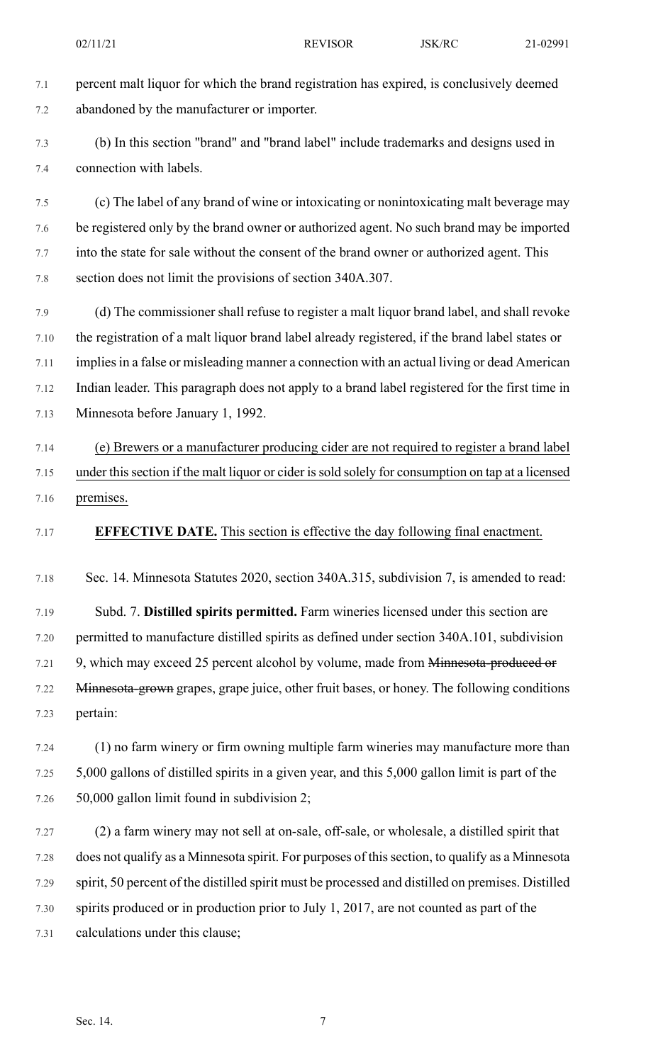7.1 percent malt liquor for which the brand registration has expired, is conclusively deemed 7.2 abandoned by the manufacturer or importer. 7.3 (b) In this section "brand" and "brand label" include trademarks and designs used in 7.4 connection with labels. 7.5 (c) The label of any brand of wine or intoxicating or nonintoxicating malt beverage may 7.6 be registered only by the brand owner or authorized agent. No such brand may be imported 7.7 into the state for sale without the consent of the brand owner or authorized agent. This 7.8 section does not limit the provisions of section 340A.307. 7.9 (d) The commissioner shall refuse to register a malt liquor brand label, and shall revoke 7.10 the registration of a malt liquor brand label already registered, if the brand label states or 7.11 implies in a false or misleading manner a connection with an actual living or dead American 7.12 Indian leader. This paragraph does not apply to a brand label registered for the first time in 7.13 Minnesota before January 1, 1992. 7.14 (e) Brewers or a manufacturer producing cider are not required to register a brand label 7.15 under thissection if the malt liquor or cider issold solely for consumption on tap at a licensed 7.16 premises. 7.17 **EFFECTIVE DATE.** This section is effective the day following final enactment. 7.18 Sec. 14. Minnesota Statutes 2020, section 340A.315, subdivision 7, is amended to read: 7.19 Subd. 7. **Distilled spirits permitted.** Farm wineries licensed under this section are 7.20 permitted to manufacture distilled spirits as defined under section 340A.101, subdivision 7.21 9, which may exceed 25 percent alcohol by volume, made from Minnesota-produced or 7.22 Minnesota-grown grapes, grape juice, other fruit bases, or honey. The following conditions 7.23 pertain:

7.24 (1) no farm winery or firm owning multiple farm wineries may manufacture more than 7.25 5,000 gallons of distilled spirits in a given year, and this 5,000 gallon limit is part of the 7.26 50,000 gallon limit found in subdivision 2;

7.27 (2) a farm winery may not sell at on-sale, off-sale, or wholesale, a distilled spirit that 7.28 does not qualify as a Minnesota spirit. For purposes of thissection, to qualify as a Minnesota 7.29 spirit, 50 percent of the distilled spirit must be processed and distilled on premises. Distilled 7.30 spirits produced or in production prior to July 1, 2017, are not counted as part of the 7.31 calculations under this clause;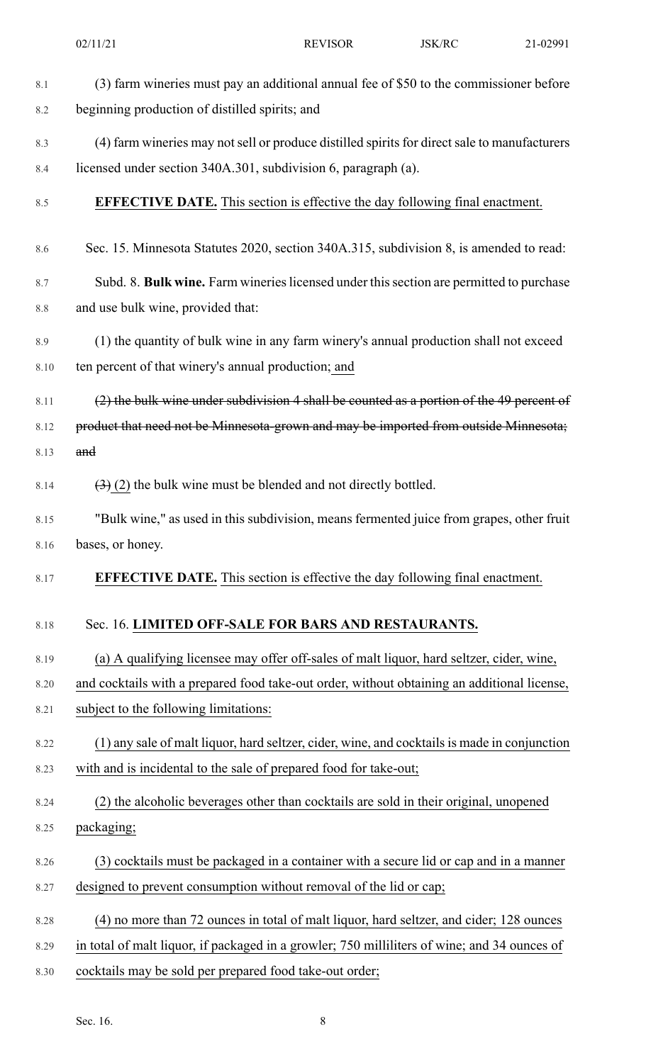|      | 02/11/21                                                                                     | <b>REVISOR</b> | JSK/RC | 21-02991 |
|------|----------------------------------------------------------------------------------------------|----------------|--------|----------|
| 8.1  | (3) farm wineries must pay an additional annual fee of \$50 to the commissioner before       |                |        |          |
| 8.2  | beginning production of distilled spirits; and                                               |                |        |          |
| 8.3  | (4) farm wineries may not sell or produce distilled spirits for direct sale to manufacturers |                |        |          |
| 8.4  | licensed under section 340A.301, subdivision 6, paragraph (a).                               |                |        |          |
| 8.5  | <b>EFFECTIVE DATE.</b> This section is effective the day following final enactment.          |                |        |          |
| 8.6  | Sec. 15. Minnesota Statutes 2020, section 340A.315, subdivision 8, is amended to read:       |                |        |          |
| 8.7  | Subd. 8. Bulk wine. Farm wineries licensed under this section are permitted to purchase      |                |        |          |
| 8.8  | and use bulk wine, provided that:                                                            |                |        |          |
| 8.9  | (1) the quantity of bulk wine in any farm winery's annual production shall not exceed        |                |        |          |
| 8.10 | ten percent of that winery's annual production; and                                          |                |        |          |
| 8.11 | (2) the bulk wine under subdivision 4 shall be counted as a portion of the 49 percent of     |                |        |          |
| 8.12 | product that need not be Minnesota-grown and may be imported from outside Minnesota;         |                |        |          |
| 8.13 | and                                                                                          |                |        |          |
| 8.14 | $\left(\frac{3}{2}\right)$ (2) the bulk wine must be blended and not directly bottled.       |                |        |          |
| 8.15 | "Bulk wine," as used in this subdivision, means fermented juice from grapes, other fruit     |                |        |          |
| 8.16 | bases, or honey.                                                                             |                |        |          |
| 8.17 | <b>EFFECTIVE DATE.</b> This section is effective the day following final enactment.          |                |        |          |
| 8.18 | Sec. 16. LIMITED OFF-SALE FOR BARS AND RESTAURANTS.                                          |                |        |          |
| 8.19 | (a) A qualifying licensee may offer off-sales of malt liquor, hard seltzer, cider, wine,     |                |        |          |
| 8.20 | and cocktails with a prepared food take-out order, without obtaining an additional license,  |                |        |          |
| 8.21 | subject to the following limitations:                                                        |                |        |          |
| 8.22 | (1) any sale of malt liquor, hard seltzer, cider, wine, and cocktails is made in conjunction |                |        |          |
| 8.23 | with and is incidental to the sale of prepared food for take-out;                            |                |        |          |
| 8.24 | (2) the alcoholic beverages other than cocktails are sold in their original, unopened        |                |        |          |
| 8.25 | packaging;                                                                                   |                |        |          |
| 8.26 | (3) cocktails must be packaged in a container with a secure lid or cap and in a manner       |                |        |          |
| 8.27 | designed to prevent consumption without removal of the lid or cap;                           |                |        |          |
| 8.28 | (4) no more than 72 ounces in total of malt liquor, hard seltzer, and cider; 128 ounces      |                |        |          |
| 8.29 | in total of malt liquor, if packaged in a growler; 750 milliliters of wine; and 34 ounces of |                |        |          |
| 8.30 | cocktails may be sold per prepared food take-out order;                                      |                |        |          |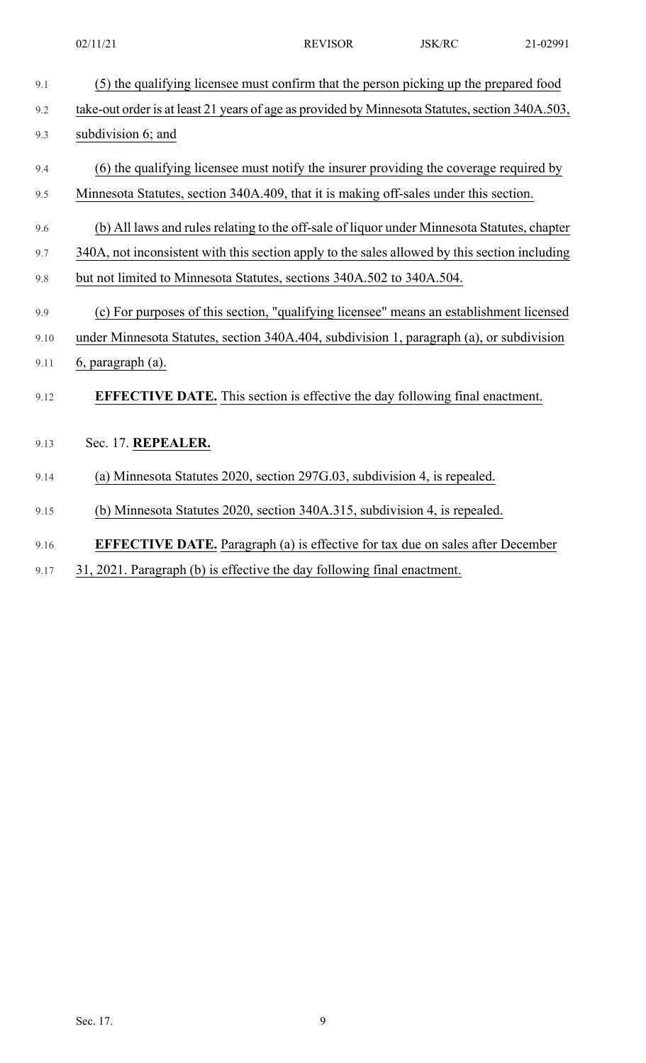| 9.1  | (5) the qualifying licensee must confirm that the person picking up the prepared food           |
|------|-------------------------------------------------------------------------------------------------|
| 9.2  | take-out order is at least 21 years of age as provided by Minnesota Statutes, section 340A.503, |
| 9.3  | subdivision 6; and                                                                              |
| 9.4  | (6) the qualifying licensee must notify the insurer providing the coverage required by          |
| 9.5  | Minnesota Statutes, section 340A.409, that it is making off-sales under this section.           |
| 9.6  | (b) All laws and rules relating to the off-sale of liquor under Minnesota Statutes, chapter     |
| 9.7  | 340A, not inconsistent with this section apply to the sales allowed by this section including   |
| 9.8  | but not limited to Minnesota Statutes, sections 340A.502 to 340A.504.                           |
| 9.9  | (c) For purposes of this section, "qualifying licensee" means an establishment licensed         |
| 9.10 | under Minnesota Statutes, section 340A.404, subdivision 1, paragraph (a), or subdivision        |
| 9.11 | 6, paragraph (a).                                                                               |
| 9.12 | <b>EFFECTIVE DATE.</b> This section is effective the day following final enactment.             |
| 9.13 | Sec. 17. REPEALER.                                                                              |
| 9.14 | (a) Minnesota Statutes 2020, section 297G.03, subdivision 4, is repealed.                       |
| 9.15 | (b) Minnesota Statutes 2020, section 340A.315, subdivision 4, is repealed.                      |
| 9.16 | <b>EFFECTIVE DATE.</b> Paragraph (a) is effective for tax due on sales after December           |

9.17 31, 2021. Paragraph (b) is effective the day following final enactment.